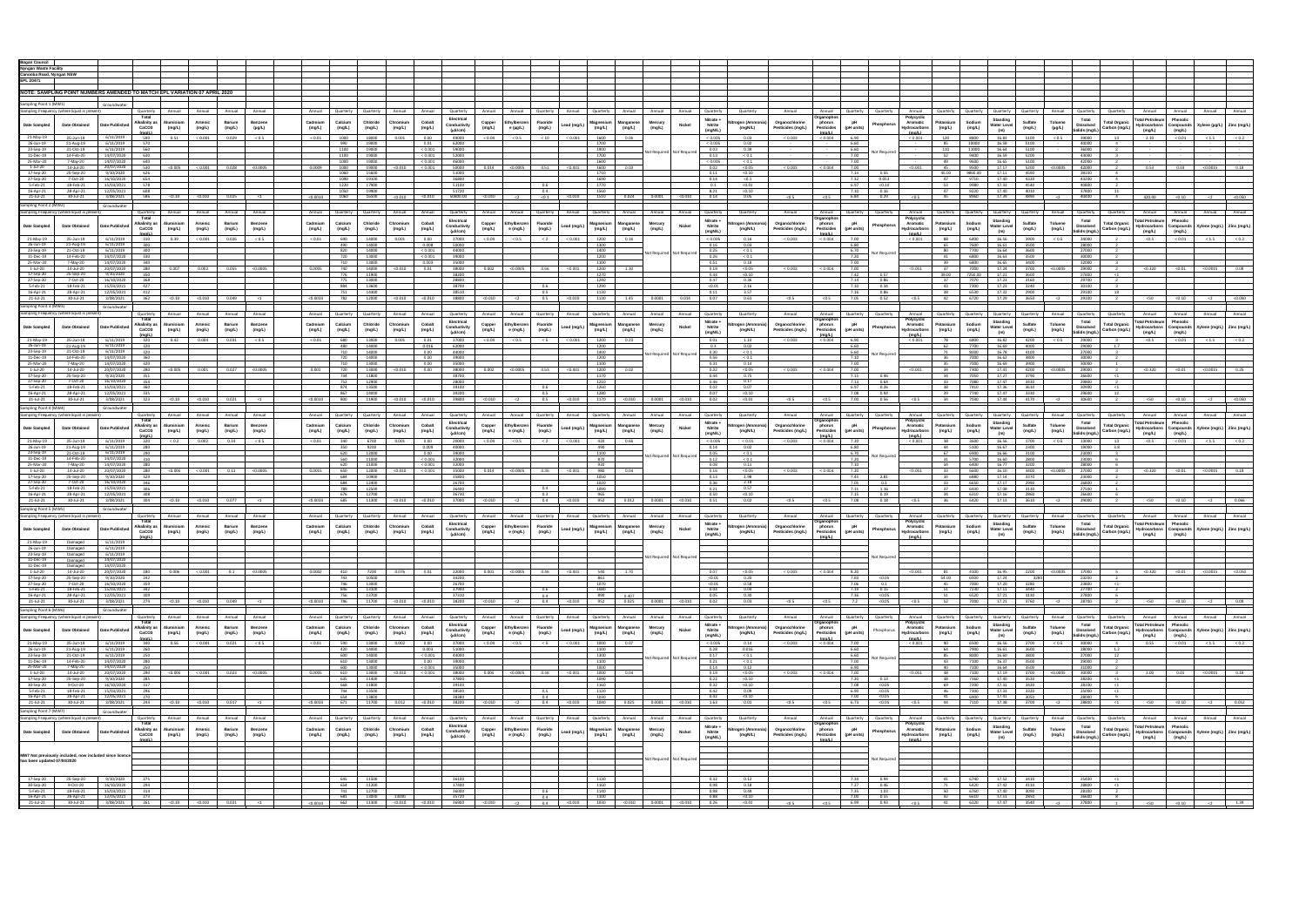| <b>Bogan Council</b><br><b>Nyngan Waste Facility</b> |                                              |                                                                                        |                                           |                              |                          |                  |                   |                   |                     |                               |                    |                     |                            |                                             |                    |                  |                     |                         |                           |                           |                             |                               |                                     |                                          |                             |                     |                                 |                                                                                                                   |                                       |                    |                   |                                |                                                                                                                                                 |                                                    |                      |                                                  |
|------------------------------------------------------|----------------------------------------------|----------------------------------------------------------------------------------------|-------------------------------------------|------------------------------|--------------------------|------------------|-------------------|-------------------|---------------------|-------------------------------|--------------------|---------------------|----------------------------|---------------------------------------------|--------------------|------------------|---------------------|-------------------------|---------------------------|---------------------------|-----------------------------|-------------------------------|-------------------------------------|------------------------------------------|-----------------------------|---------------------|---------------------------------|-------------------------------------------------------------------------------------------------------------------|---------------------------------------|--------------------|-------------------|--------------------------------|-------------------------------------------------------------------------------------------------------------------------------------------------|----------------------------------------------------|----------------------|--------------------------------------------------|
| Canonba Road, Nyngan NSW<br><b>EPL 20471</b>         |                                              |                                                                                        |                                           |                              |                          |                  |                   |                   |                     |                               |                    |                     |                            |                                             |                    |                  |                     |                         |                           |                           |                             |                               |                                     |                                          |                             |                     |                                 |                                                                                                                   |                                       |                    |                   |                                |                                                                                                                                                 |                                                    |                      |                                                  |
|                                                      |                                              |                                                                                        |                                           |                              |                          |                  |                   |                   |                     |                               |                    |                     |                            |                                             |                    |                  |                     |                         |                           |                           |                             |                               |                                     |                                          |                             |                     |                                 |                                                                                                                   |                                       |                    |                   |                                |                                                                                                                                                 |                                                    |                      |                                                  |
|                                                      |                                              | NOTE: SAMPLING POINT NUMBERS AMENDED TO MATCH EPL VARIATION 07 APRIL 2020              |                                           |                              |                          |                  |                   |                   |                     |                               |                    |                     |                            |                                             |                    |                  |                     |                         |                           |                           |                             |                               |                                     |                                          |                             |                     |                                 |                                                                                                                   |                                       |                    |                   |                                |                                                                                                                                                 |                                                    |                      |                                                  |
| Sampling Point 1 (MW1)                               |                                              | Groundwate                                                                             |                                           |                              |                          |                  |                   |                   |                     |                               |                    |                     |                            |                                             |                    |                  |                     |                         |                           |                           |                             |                               |                                     |                                          |                             |                     |                                 |                                                                                                                   |                                       |                    |                   |                                |                                                                                                                                                 |                                                    |                      |                                                  |
|                                                      | Sampling Frequency (where liquid is present) |                                                                                        | Quarterly                                 | Annual                       | Annual                   | Annual           | Annual            | Annual            | Quarterly           | Quarterly                     | Annual             | Annual              | Quarterly                  | Annual<br>Annual                            | Quarterly          | Annual           | Quarterly           | Annual                  | Annual                    | Annual                    | Quarterly                   | Quarterly                     | Annual                              | Annual                                   | Quarterly                   | Quarterly           | Annual                          | Quarterly Quarterly                                                                                               | Quarterly                             | Quarterly          | Annual            | Quarterly                      | Quarterly                                                                                                                                       | Annual                                             | Annual               | Annual<br>Annual                                 |
| <b>Date Sampled</b>                                  | <b>Date Obtained</b>                         | <b>Date Published</b>                                                                  | Total<br><b>Alkalinity as</b>             | Aluminiu                     | Arsenic                  | Barium           | Benzene           | Cadmium           | Calcium             | Chloride                      | Chromiu            | Cobalt              | Electrical<br>Conductivity | Copper<br>Ethylbenze                        | Fluoride           | Lead (mg/L       | lagnesiu            | anganes                 | Mercury                   | Nickel                    | Nitrate +<br><b>Nitrite</b> | rogen (Ammo                   | Organochlorine                      | phorus                                   | pH                          | ıosphoru            | Polycyclic<br>Aromatic          | Sodium<br>Potassium                                                                                               | Standing<br><b>Water Leve</b>         | Sulfate            | Toluene           | Total<br><b>Dissolved</b>      | <b>Total Organic</b>                                                                                                                            | Total Petroleum Phenolic<br>Hydrocarbons Compounds |                      | (ylene (µg/L) Zinc (mg/L)                        |
|                                                      |                                              |                                                                                        | CaCO <sub>3</sub>                         | (mg/L)                       | (mg/L)                   | (mg/L)           | $(\mu g/L)$       | (mg/L)            | (mg/L)              | (mg/L)                        | (mg/L)             | (mg/L)              | (uS/cm)                    | (mg/L)<br>e (µg/L)                          | (mg/L)             |                  | (mg/L)              | (mg/L)                  | (mg/L)                    |                           | (mgN/L)                     | (mgN/L)                       | Pesticides (mg/L)                   | Pesticides<br>$\text{Im}\alpha/\text{L}$ | (pH units)                  |                     | Hydrocarbons<br>(mall.)         | (mg/L)<br>(mg/L)                                                                                                  | (m)                                   | (mg/L)             | $(\mu g/L)$       | Solids (mg/L)                  | Carbon (mg/L)                                                                                                                                   | (mg/L)                                             | (mg/L)               |                                                  |
| 21-May-19                                            | 25-Jun-19                                    | 6/11/2019                                                                              | 590                                       | 0.51                         | ${}< 0.001$              | 0.029            | ${}_{0.5}$        | ${}< 0.01$        | 1000                | 18000                         | 0.001              | 0.00                | 49000                      | ${}_{0.5}$<br>${}_{0.04}$                   |                    | < 0.001          | 1600                | 0.06                    |                           |                           | < 0.005                     | 0.03                          | < 0.003                             | < 0.004                                  | 6.90                        |                     | < 0.001                         | 120<br>8800                                                                                                       | 16.83                                 | 5100               | 0.5               | 39000                          | 13                                                                                                                                              | 2.10                                               | 0.01                 | < 1.5                                            |
| 26-Jun-19<br>23-Sep-19                               | 21-Aug-19<br>21-Oct-19                       | 6/11/2019<br>6/11/2019                                                                 | 570<br>560                                |                              |                          |                  |                   |                   | 990<br>1100         | 19000<br>19000                |                    | 0.01<br>< 0.001     | 62000<br>59000             |                                             |                    |                  | 1700<br>1900        |                         |                           |                           | ${}< 0.005$<br>0.03         | 0.02<br>0.39                  |                                     |                                          | 6.60<br>6.60                |                     |                                 | 10000<br>110<br>11000                                                                                             | 16.58<br>16.64                        | 5100<br>5100       |                   | 40000<br>36000                 |                                                                                                                                                 |                                                    |                      |                                                  |
| 11-Dec-19                                            | 14-Feb-20                                    | 14/07/2020                                                                             | 630                                       |                              |                          |                  |                   |                   | 1100                | 19000                         |                    | < 0.001             | 52000                      |                                             |                    |                  | 1700                |                         | Not Required Not Required |                           | 0.13                        | < 0.1                         |                                     |                                          | 7.00                        | Not Require         |                                 | 9400                                                                                                              | 16.59                                 | 5200               |                   | 43000                          |                                                                                                                                                 |                                                    |                      |                                                  |
| 25-Mar-20<br>1-Jul-20                                | 7-May-20<br>14-Jul-20                        | 14/07/2020<br>20/07/2020                                                               | 640<br>530                                | < 0.005                      | < 0.001                  | 0.028            | < 0.0005          | 0.0009            | 1000<br>1000        | 19000<br>19000                | < 0.010            | < 0.001<br>< 0.001  | 46000<br>50000             | 0.014<br>< 0.0005                           | 0.51               | < 0.001          | 1600<br>1600        | 0.03                    |                           |                           | < 0.005<br>0.02             | < 0.1<br>< 0.05               | < 0.003                             | < 0.004                                  | 7.00<br>7.00                |                     | < 0.001                         | 9600<br>9500                                                                                                      | 16.65<br>17.17                        | 5100<br>5200       | < 0.0005          | 42000<br>42000                 | $\overline{2}$                                                                                                                                  | 0.53                                               | 0.03                 | 0.18<br>< 0.0015                                 |
| 17-Sep-20                                            | 25-Sep-20                                    |                                                                                        |                                           |                              |                          |                  |                   |                   | 1060                | 15600                         |                    |                     | 51000                      |                                             |                    |                  | 1710                |                         |                           |                           | 0.11                        | < 0.10                        |                                     |                                          | 7.14                        |                     |                                 |                                                                                                                   |                                       | 4590               |                   |                                |                                                                                                                                                 |                                                    |                      |                                                  |
| 27-Sep-20<br>5-Feb-21                                | 7-Oct-20<br>18-Feb-21                        | 16/10/2020<br>15/03/2021                                                               | 654<br>578                                |                              |                          |                  |                   |                   | 1090<br>1220        | 19100<br>17900                |                    |                     | 36800<br>51100             |                                             |                    |                  | 1690<br>1770        |                         |                           |                           | 0.14<br>0.1                 | < 0.1<br>< 0.01               |                                     |                                          | 7.32<br>6.97                | 0.053<br>< 0.10     |                                 | 9710<br>9980                                                                                                      | 17.40<br>17.33                        | 4320<br>4540       |                   | 43200<br>40800                 | $\sim$                                                                                                                                          |                                                    |                      |                                                  |
| 16-Apr-21                                            | 28-Apr-21                                    | 12/05/2021                                                                             | 608                                       |                              |                          |                  |                   |                   | 1050                | 19900                         |                    |                     | 51720                      |                                             | 0.4                |                  | 1560<br>1510        |                         |                           |                           | 8.21                        | $\frac{<0.10}{0.05}$          |                                     |                                          | 7.10                        | $\frac{0.16}{0.29}$ |                                 | 9220<br>8960<br>47                                                                                                | 17.40                                 | 4010               |                   | 37800                          | 11                                                                                                                                              |                                                    |                      |                                                  |
| $21$ -Jul-21                                         | 30-Jul-21                                    | 3/08/2021                                                                              |                                           | < 0.10                       | < 0.010                  | 0.025            | <1                | < 0.0010          | 1060                | 16500                         | < 0.010            |                     | 50800.00                   | < 0.010<br>< 2                              | < 0.1              | < 0.010          |                     | 0.024                   |                           | < 0.010                   | 0.14                        |                               | < 0.5                               | < 0.5                                    | 6.84                        |                     | < 0.5                           | 45                                                                                                                | 17.39                                 | 4890               | $\leq$            | 40400                          | 4                                                                                                                                               | 420.00                                             | < 0.10               | $<$ 2<br>< 0.050                                 |
| mpling Point 2 (MW2)                                 | Impling Frequency (where liquid is present   | Groundwate                                                                             |                                           |                              |                          |                  |                   |                   |                     |                               |                    |                     |                            |                                             |                    |                  |                     |                         | Annual                    |                           |                             |                               |                                     | Annual                                   |                             |                     | Annua                           |                                                                                                                   |                                       |                    |                   |                                |                                                                                                                                                 |                                                    |                      | Annual                                           |
|                                                      |                                              |                                                                                        | Quarterly<br>Total                        | Annual                       | Annual                   | Annual           | Annual            | Annual            | Quarterly           | Quarterly                     | Annual             | Annual              | Quarterly<br>Electrical    | Annual<br>Annual                            | Quarterly          | Annual           | Quarterly           | Annual                  |                           | Annual                    | Quarterly<br>Nitrate +      | Quarterly                     | Annual                              | )rganopho                                | Quarterly                   | Quarterly           | Polycyclic                      | Quarterly<br>Quarterly                                                                                            | Quarterly<br><b>Standing</b>          | Quarterly          | Annual            | Quarterly<br>Total             | Quarterly                                                                                                                                       | Annual<br><b>Total Petroleum</b>                   | Annual<br>Phenolio   | Annual                                           |
| Date Sample                                          |                                              | Date Publisher                                                                         | <b>Alkalinity as</b><br>CaCO <sub>3</sub> | Aluminiur<br>(mg/L)          | <b>Arsenic</b><br>(mg/L) | Barium<br>(mg/L) | Benzene<br>(mg/L) | Cadmium<br>(mg/L) | Calcium<br>(mg/L)   | Chloride<br>(mg/L)            | Chromium<br>(mg/L) | Cobalt<br>(mg/L)    | Conductivity               | Ethvlbenzen<br>Copper<br>(mg/L)<br>e (mg/L) | Fluoride<br>(mg/L) | ead (mg/L        | Magnesium<br>(mg/L) | Manganese<br>(mg/L)     | Mercury<br>(mg/L)         | Nickel                    | Nitrite                     | trogen (Ammonia)<br>(mgN/L)   | Organochlorine<br>Pesticides (mg/L) | phorus<br>Pesticides                     | рH<br>(pH units)            | hosphor             | Aromatic<br><b>Hydrocarbons</b> | Potassium<br>Sodium<br>(mg/L)<br>(mg/L)                                                                           | <b>Water Leve</b>                     | Sulfate<br>(mg/L)  | Toluene<br>(mg/L) | <b>Dissolved</b>               | <b>Total Organic</b><br>Carbon (mg/L)                                                                                                           | <b>Hydrocarbons Compound</b>                       |                      | ylene (mg/L) Zinc (mg/L)                         |
| 21-May-19                                            |                                              | 6/11/2019                                                                              |                                           |                              |                          | 0.026            | < 0.5             |                   | 690                 |                               |                    |                     | $(\mu S/cm)$               |                                             |                    | < 0.001          |                     |                         |                           |                           | (mgN/L)                     |                               |                                     | (ma/L)                                   |                             |                     | (mol)                           | 88                                                                                                                | (m)                                   |                    | < 0.5             | Solids (mg/L)                  |                                                                                                                                                 | (mg/L)                                             | (mglL)               |                                                  |
| 26-Jun-19                                            | 25-Jun-19<br>21-Aug-19                       | 6/11/2019                                                                              | 310<br>300                                | 0.39                         | < 0.001                  |                  |                   | < 0.01            | 490                 | 14000<br>14000                | 0.001              | 0.00<br>0.008       | 37000<br>50000             | 0.04<br>< 0.5                               |                    |                  | 1200<br>1300        | 0.16                    |                           |                           | < 0.005<br>0.16             | 0.16<br>0.03                  | < 0.003                             | < 0.004                                  | 7.00<br>6.80                |                     | < 0.001                         | 6400<br>7600<br>- 65                                                                                              | 16.56<br>16.61                        | 3900<br>3500       |                   | 34000<br>28000                 |                                                                                                                                                 |                                                    |                      |                                                  |
| 23-Sep-19<br>11-Dec-19                               | 21-Oct-19<br>14-Feb-20                       | 6/11/2019<br>14/07/2020                                                                | 300<br>330                                |                              |                          |                  |                   |                   | 820<br>720          | 14000<br>13000                |                    | < 0.001<br>< 0.001  | 44000<br>39000             |                                             |                    |                  | 1400<br>1200        |                         | Not Required Not Required |                           | 0.25<br>0.26                | < 0.1<br>< 0.1                |                                     |                                          | 6.70<br>7.20                | Not Require         |                                 | 7700<br>41                                                                                                        | 16.64                                 | 3600<br>3500       |                   | 27000<br>30000                 |                                                                                                                                                 |                                                    |                      |                                                  |
| 25-Mar-20                                            | 7-May-20                                     | 14/07/2020                                                                             | 340                                       |                              |                          |                  |                   |                   | 710                 | 13000                         |                    | 0.003               | 35000                      |                                             |                    |                  | 1100                |                         |                           |                           | 0.51                        | 0.18                          |                                     |                                          | 7.00                        |                     |                                 | 6800<br>6800                                                                                                      | 16.63<br>16.65                        | 3400               |                   | 32000                          |                                                                                                                                                 |                                                    |                      |                                                  |
| 1-Jul-20                                             | 14-Jul-20                                    |                                                                                        | 280                                       | 0.007                        | 0.002                    | 0.055            | < 0.0005          |                   | 740<br>776          | 14000                         | < 0.010            | 0.01                | 38000                      | < 0.0005                                    | 0.56               | < 0.00           | 1200                |                         |                           |                           | 0.19<br>0.44                | < 0.05                        | < 0.003                             | < 0.004                                  | 7.00<br>7.42                |                     |                                 |                                                                                                                   | 17.24                                 | 3700               |                   | 29000                          |                                                                                                                                                 | < 0.320                                            | < 0.01               | < 0.0015                                         |
| 17-Sep-20<br>27-Sep-20                               | 25-Sep-20<br>7-Oct-20                        | 9/10/2020<br>16/10/2020                                                                | 350<br>368                                |                              |                          |                  |                   |                   | 775                 | 11900<br>13000                |                    |                     | 38200<br>28800             |                                             |                    |                  | 1270<br>1240        |                         |                           |                           | 0.47                        | < 0.10<br>0.36                |                                     |                                          | 7.14                        | 0.57<br>0.86        |                                 | 39.00<br>7250.00<br>7070                                                                                          | 17.21<br>17.23                        | 3500<br>3160       |                   | 27800<br>29700                 | $\leq 1$                                                                                                                                        |                                                    |                      |                                                  |
| 5-Feb-21                                             | 18-Feb-21<br>28-Apr-21                       | 15/03/2021                                                                             | 427                                       |                              |                          |                  |                   |                   | 884                 | 13600                         |                    |                     | 38700                      |                                             | 0.6                |                  | 1290                |                         |                           |                           | < 0.01<br>0.11              | 2.16<br>3.57                  |                                     |                                          | 7.10<br>7.16                | 0.34<br>0.86        |                                 | 43<br>7300                                                                                                        | 17.23<br>17.32                        | 3240               |                   | 30100                          | $\mathbf{3}$                                                                                                                                    |                                                    |                      |                                                  |
| 16-Apr-21<br>21-Jul-21                               | 30-Jul-21                                    | 3/08/2021                                                                              | 412<br>362                                | < 0.10                       | < 0.010                  | 0.049            | $\leq$ 1          |                   | 751<br>$0.0010$ 782 | 14300<br>12000                | < 0.010            | < 0.010             | 38510<br>38800             | < 0.010                                     | 0.5                | < 0.010          | 1130<br>1130        | 1.45                    | 0.0001                    | 0.014                     | 0.07                        | 0.61                          | < 0.5                               | < 0.5                                    | 7.05                        | 0.52                | < 0.5                           | 6530<br>6720                                                                                                      | 17.29                                 | 2900<br>3650       |                   | 29100<br>29100                 | 18                                                                                                                                              | < 50                                               | < 0.10               | < 0.050<br>$\leq$                                |
| mpling Point 3 (MW3)                                 |                                              | Groundwater                                                                            |                                           |                              |                          |                  |                   |                   |                     |                               |                    |                     |                            |                                             |                    |                  |                     |                         |                           |                           |                             |                               |                                     |                                          |                             |                     |                                 |                                                                                                                   |                                       |                    |                   |                                |                                                                                                                                                 |                                                    |                      |                                                  |
|                                                      | Sampling Frequency (where liquid is present) |                                                                                        | Quarterly                                 | Annual                       | Annual                   | Annual           | Annual            | Annual            | Quarterly           | Quarterly                     | Annual             | Annual              | Quarterly                  | Annual<br>Annual                            | Quarterly          | Annual           | Quarterly           | Annual                  | Annual                    | Annual                    | Quarterly                   | Quarterly                     | Annual                              | Annual                                   | Quarterly                   | Quarterly           | Annual                          | Quarterly<br>Quarterly                                                                                            | Quarterly                             | Quarterly          | Annual            | Quarterly                      | Quarterly                                                                                                                                       | Annual                                             | Annual               | Annual<br>Annual                                 |
| <b>Date Sampled</b>                                  | <b>Date Obtained</b>                         | <b>Date Published</b>                                                                  | Alkalinity as                             | Aluminiu                     | Arsenic                  | Barium           |                   | Cadmium           | Calcium             | Chloride                      | Chromiun           | Cobalt              | Electrical<br>Conductivity | thylbenze                                   |                    | Lead (mg/L       | lagnesiun           | anganes                 | Mercury                   | Nickel                    | Nitrate -<br><b>Nitrite</b> | rogen (Ammon                  | Organochlorin                       | phorus                                   |                             | iosphoru            | Aromatic                        | otassium<br>Sodium                                                                                                | <b>Standing</b><br><b>Water Level</b> | Sulfate            | Toluene           | Total<br><b>Dissolved</b>      | <b>Total Organic</b>                                                                                                                            | otal Petroleum<br>Hydrocarbons Compounds           | Phenolis             | (ylene (mg/L) Zinc (mg/L                         |
|                                                      |                                              |                                                                                        | CaCO <sub>3</sub>                         | (mg/L)                       | (mg/L)                   | (mg/L)           | (mg/L)            | (mg/L)            | (mg/L)              | (mg/L)                        | (mg/L)             | (mg/L)              | $(\mu$ S/cm)               | (mg/L)<br>e (mg/L)                          | (mg/L)             |                  | (mg/L)              | (mg/L)                  | (mg/L)                    |                           | (mgN/L)                     | (mgN/L)                       | Pesticides (mg/L)                   | Pesticides                               | (pH units)                  |                     | lydrocarbons<br>(ma/L)          | (mg/L)<br>(mg/L)                                                                                                  | (m)                                   | (mg/L)             | (mglL)            | Solids (mg/L)                  | Carbon (mg/L)                                                                                                                                   | (mg/L)                                             | (mg/L)               |                                                  |
| 21-May-19                                            | 25-Jun-19                                    | 6/11/2019                                                                              | 320                                       | 0.42                         | 0.004                    | 0.031            | < 0.5             | < 0.01            | 680                 | 13000                         | 0.001              | 0.01                | 37000                      | ${}_{< 0.04}$<br>< 0.5                      |                    | < 0.001          | 1200                | 0.23                    |                           |                           | 0.01                        | 1.10                          | < 0.003                             | < 0.004                                  | 6.90                        |                     | < 0.001                         | 6800<br>78                                                                                                        | 16.82                                 | 4200               | < 0.5             | 29000                          |                                                                                                                                                 | < 0.5                                              | ${}< 0.01$           | < 1.5<br>< 0.2                                   |
| 26-Jun-19<br>23-Sep-19                               | 21-Aug-19<br>21-Oct-19                       | 6/11/2019<br>6/11/2019                                                                 | 320<br>320                                |                              |                          |                  |                   |                   | 480<br>710          | 14000<br>14000                |                    | 0.016<br>0.00       | 62000<br>44000             |                                             |                    |                  | 1200<br>1400        |                         |                           |                           | 0.3<br>0.30                 | 0.02<br>< 0.1                 |                                     |                                          | 6.60<br>6.60                |                     |                                 | 7700<br>62<br>71<br>8000                                                                                          | 16.69<br>16.78                        | 4000<br>4100       |                   | 29000<br>27000                 | 1.7<br>$\overline{\mathbf{3}}$                                                                                                                  |                                                    |                      |                                                  |
| 11-Dec-19                                            | 14-Feb-20                                    | 14/07/2020                                                                             | 360                                       |                              |                          |                  |                   |                   | 720                 | 14000                         |                    | 0.00                | 39000                      |                                             |                    |                  | 1200                |                         |                           | Int Required Not Required | 0.56                        | < 0.1                         |                                     |                                          | 7.10                        | lot Require         |                                 | 7000                                                                                                              | 16.62                                 | 3800               |                   | 30000                          |                                                                                                                                                 |                                                    |                      |                                                  |
| 25-Mar-20<br>1-Jul-20                                | 7-May-20<br>14-Jul-20                        | 14/07/2020<br>20/07/2020                                                               | 320<br>280                                | < 0.005                      | 0.001                    | 0.027            | < 0.0005          | 0.001             | 710<br>720          | 13000<br>13000                | < 0.010            | 0.00<br>0.00        | 35000<br>38000             | < 0.0005<br>0.002                           | 0.53               | < 0.00           | 1100<br>1200        | 0.02                    |                           |                           | 0.31<br>0.32                | 0.14<br>< 0.05                | < 0.003                             | < 0.004                                  | 7.00<br>7.00                |                     |                                 | 7000<br>35<br>7300                                                                                                | 16.69<br>17.41                        | 3900<br>4200       | < 0.0005          | 30000<br>29000                 | $\overline{1}$                                                                                                                                  | < 0.320                                            | < 0.01               | < 0.0015<br>0.25                                 |
| 17-Sep-20                                            | 25-Sep-20                                    | 9/10/2020                                                                              |                                           |                              |                          |                  |                   |                   | 734                 | 11800                         |                    |                     | 38700                      |                                             |                    |                  | 1170                |                         |                           |                           | 0.44                        | 0.75                          |                                     |                                          | 7.15                        | 0.46                |                                 | 7050                                                                                                              |                                       | 3790               |                   | 26600                          |                                                                                                                                                 |                                                    |                      |                                                  |
| 27-Sep-20<br>5-Feb-21                                | 7-Oct-20<br>18-Feb-21                        | 16/10/2020<br>15/03/2021                                                               | 354<br>360                                |                              |                          |                  |                   |                   | 752<br>874          | 12900<br>13500                |                    |                     | 28000<br>39100             |                                             | 0.6                |                  | 1210<br>1260        |                         |                           |                           | 0.46<br>0.02                | 0.17<br>0.07                  |                                     |                                          | 7.13<br>6.97                | 0.64<br>0.26        |                                 | 7080<br>7410                                                                                                      | 17.47<br>17.36                        | 3430<br>3610       |                   | 29800<br>30900                 | <1                                                                                                                                              |                                                    |                      |                                                  |
| 16-Apr-21                                            | 28-Apr-21                                    | 12/05/2021                                                                             | 335                                       |                              |                          |                  |                   |                   | 867                 | 14000                         |                    |                     | 39200                      |                                             | 0.5                |                  | 1280                |                         |                           |                           | 0.07                        | < 0.10                        |                                     |                                          | 7.08                        | 0.94                |                                 | 7740<br>39                                                                                                        | 17.47                                 | 3330               |                   | 29600                          | 12                                                                                                                                              |                                                    |                      |                                                  |
| 21-Jul-21                                            | 30-Jul-21                                    | 3/08/2021                                                                              | 323                                       | < 0.10                       | < 0.010                  | 0.021            | $\leq 1$          |                   | $< 0.0010$ 800      | 11900                         | < 0.010            | < 0.010             | 39800                      | < 0.010                                     | 0.5                | < 0.010          | 1170                | < 0.010                 | 0.0001                    | < 0.010                   | 0.02                        | < 0.01                        | < 0.5                               | < 0.5                                    | 7.00                        | 0.56                | < 0.5                           | 7030<br>34                                                                                                        | 17.44                                 | 4170               |                   | 30600                          |                                                                                                                                                 | <50                                                | < 0.10               | $\sim$ 2<br>< 0.050                              |
| mpling Point 4 (MW4)                                 |                                              | Groundwater                                                                            |                                           | Annual                       | Annual                   | Annual           | Annual            | Annual            |                     |                               | Annual             | Annua               |                            | Annual<br>Annual                            |                    | Annua            |                     | Annual                  | Annual                    | Annual                    |                             |                               | Annual                              | Annual                                   |                             |                     | Annual                          |                                                                                                                   |                                       |                    |                   |                                |                                                                                                                                                 | Annual                                             | Annual               | Annual<br>Annual                                 |
|                                                      | impling Frequency (where liquid is pr        |                                                                                        | Quarterly<br>Total                        |                              |                          |                  |                   |                   | Quarterly           | Quarterly                     |                    |                     | Quarterl<br>Electrical     |                                             | Quarterly          |                  | Quarterly           |                         |                           |                           | Quarterly<br>Nitrate +      | Quarterly                     |                                     | Organophos                               | Quarterly                   | Quarterly           | Polycyclic                      | Quarterly                                                                                                         | Quarterly<br><b>Standing</b>          | Quarterly          |                   | Quarterly<br>Total             | Quarterly                                                                                                                                       | Total Petroleum                                    | Phenolic             |                                                  |
| <b>Date Sampled</b>                                  | <b>Date Obtained</b>                         | Date Publisher                                                                         | Alkalinity as<br>CaCO <sub>3</sub>        | Aluminiur<br>(mg/L)          | Arsenic<br>(mg/L)        | Barium<br>(mg/L) | Benzene<br>(mg/L) | Cadmium<br>(mg/L) | Calcium<br>(mg/L)   | Chloride<br>(mg/L)            | Chromium<br>(mg/L) | Cobalt<br>(mg/L)    | Conductivity               | Copper<br>Ethvlbenzer<br>(mg/L)<br>e (mg/L) | Fluoride<br>(mg/L) | ead (mg/L        | lagnesium<br>(mg/L) | Manganes<br>(mg/L)      | Mercury<br>(mg/L)         | Nickel                    | Nitrite                     | trogen (Ammonia)<br>(mgN/L)   | Organochlorine<br>Pesticides (mg/L) | phorus<br><b>Pesticides</b>              | pH<br>(pH units)            | hosphori            | Aromatic<br>Hydrocarbons        | Sodium<br>Potassium<br>(mg/L)<br>(mg/L)                                                                           | <b>Water Leve</b>                     | Sulfate<br>(mg/L)  | Toluene<br>(mg/L) | Dissolved                      | <b>Total Organic</b><br>Carbon (mg/L)                                                                                                           | Hydrocarbons                                       | Compounds            | ylene (mg/L) Zinc (mg/L)                         |
|                                                      |                                              |                                                                                        | (mal)                                     |                              |                          |                  |                   |                   |                     |                               |                    |                     | $(\mu$ S/cm $)$            |                                             |                    |                  |                     |                         |                           |                           | (mgN/L)                     |                               |                                     |                                          |                             |                     | m <sub>0</sub> /L               |                                                                                                                   | (m)                                   |                    |                   | Solids (mg/L)                  |                                                                                                                                                 | (mg/L)                                             | (mg/L)               |                                                  |
| 21-May-19<br>26-Jun-19                               | 25-Jun-19<br>21-Aug-19                       | 6/11/2019<br>6/11/2019                                                                 | 320<br>280                                | ${}_{0.2}$                   | 0.002                    | 0.14             | < 0.5             | < 0.01            | 340<br>350          | 6700<br>9200                  | 0.001              | 0.00<br>0.009       | 20000<br>40000             | ${}_{5.04}$<br>< 0.5                        |                    | < 0.001          | 420<br>490          | 0.66                    |                           |                           | < 0.005<br>0.14             | < 0.01<br>0.02                | < 0.003                             | < 0.004                                  | 7.20<br>6.80                |                     | < 0.001                         | 3600<br>5100<br>-44                                                                                               | 16.56<br>16.67                        | 1700<br>2300       | < 0.5             | 13000<br>19000                 | 3.8                                                                                                                                             | < 0.5                                              |                      |                                                  |
| 23-Sep-19                                            | 21-Oct-19<br>14-Feb-20                       | 6/11/2019                                                                              | 290                                       |                              |                          |                  |                   |                   | 620                 | 12000                         |                    | 0.00                | 39000                      |                                             |                    |                  | 1100                |                         | Not Required Not Required |                           | 0.05                        | < 0.1                         |                                     |                                          | 6.70                        | Not Required        |                                 | 67<br>6900                                                                                                        | 16.66                                 | 3100               |                   | 23000                          |                                                                                                                                                 |                                                    |                      |                                                  |
| 11-Dec-19<br>25-Mar-20                               | 7-May-20                                     | 14/07/2020<br>14/07/2020                                                               | 310<br>280                                |                              |                          |                  |                   |                   | 560<br>620          | 11000<br>11000                |                    | < 0.001<br>< 0.001  | 32000<br>32000             |                                             |                    |                  | 870<br>920          |                         |                           |                           | 0.12<br>0.08                | < 0.1<br>0.11                 |                                     |                                          | 7.20<br>7.10                |                     |                                 | 5700<br>6400                                                                                                      | 16.60<br>16.77                        | 2800<br>3200       |                   | 23000<br>28000                 | 6<br>6                                                                                                                                          |                                                    |                      |                                                  |
| 1-Jul-20                                             | 14-Jul-20                                    |                                                                                        | 280                                       | < 0.005                      | ${}< 0.001$              | 0.11             |                   | 0.0015            | 650                 | 12000                         | < 0.010            | < 0.001             | 35000                      | < 0.0005<br>0.014                           | 0.35               | < 0.001          | 980                 |                         |                           |                           | 0.16<br>0.13                | < 0.05<br>1.98                | < 0.003                             | < 0.004                                  | $\frac{7.20}{7.45}$         | 2.81                |                                 | 6600                                                                                                              | 16.10                                 | 3400               |                   | 27000                          |                                                                                                                                                 | < 0.320                                            | < 0.01               | < 0.0015                                         |
| 17-Sep-20<br>27-Sep-20                               | 25-Sep-20<br>7-Oct-20                        | 9/10/2020<br>16/10/2020                                                                | 329                                       |                              |                          |                  |                   |                   | 684<br>684          | 10900<br>12400                |                    |                     | 35800<br>26700             |                                             |                    |                  | 1050<br>1020        |                         |                           |                           | 0.36                        | 2.18                          |                                     |                                          | 7.05                        | 0.3                 |                                 |                                                                                                                   | 17.14<br>17.17                        | 3370<br>2990       |                   | 23000<br>26800                 |                                                                                                                                                 |                                                    |                      |                                                  |
| 5-Feb-21                                             | 18-Feb-21                                    | 15/03/2021                                                                             | 306                                       |                              |                          |                  |                   |                   | 789                 | 12500                         |                    |                     | 36400                      |                                             | 0.4                |                  | 1090                |                         |                           |                           | 0.21                        | 0.57                          |                                     |                                          | 7.11                        | 1.16                |                                 | 6930                                                                                                              | 17.08                                 | 3130               |                   | 27500                          | $\overline{1}$                                                                                                                                  |                                                    |                      |                                                  |
| 16-Apr-21<br>21-Jul-21                               | 28-Apr-21<br>30-Jul-21                       | 2/05/2021<br>3/08/2021                                                                 | 308<br>304                                | < 0.10                       | < 0.010                  | 0.077            | $\leq$ $\leq$ 1   | < 0.0010          | 676<br>685          | 12700<br>11300                | < 0.010            | < 0.010             | 36730<br>37000             | < 0.010                                     | 0.3<br>0.4         | < 0.010          | 965<br>952          | 0.012                   | 0.0001                    | < 0.010                   | 0.50<br>0.51                | $\frac{<0.10}{0.02}$          | < 0.5                               | < 0.5                                    | 7.15<br>7.08                | 0.19<br>0.18        | < 0.5                           | 6310<br>36<br>6420                                                                                                | 17.16<br>17.13                        | 2860<br>3610       |                   | 26600<br>29000                 | 6<br>$\overline{2}$                                                                                                                             | < 50                                               | < 0.10               | 0.066<br>$\sim$ 2                                |
| mpling Point 5 (MW5)                                 |                                              | Groundwater                                                                            |                                           |                              |                          |                  |                   |                   |                     |                               |                    |                     |                            |                                             |                    |                  |                     |                         |                           |                           |                             |                               |                                     |                                          |                             |                     |                                 |                                                                                                                   |                                       |                    |                   |                                |                                                                                                                                                 |                                                    |                      |                                                  |
|                                                      | Sampling Frequency (where liquid is present) |                                                                                        | Quarterly                                 | Annual                       | Annual                   | Annual           | Annual            |                   |                     | Annual Quarterly Quarterly    | Annual             | Annual              | Quarterly                  | Annual<br>Annual                            | Quarterly          | Annual           | Quarterly           | Annual                  | Annual                    | Annual                    | Quarterly                   | Quarterly                     | Annual                              |                                          | Annual Quarterly Quarterly  |                     | Annual                          | Quarterly Quarterly                                                                                               | Quarterly                             | Quarterly          | Annual            | Quarterly                      | Quarterly                                                                                                                                       | Annual                                             | Annual               | Annual Annual                                    |
|                                                      |                                              |                                                                                        | Total<br><b>Alkalinity as</b>             | Aluminiu                     | Arsenic                  | Barium           | Benzene           | Cadmium           | Calcium             | Chloride                      | Chromium           | Cobalt              | Electrical<br>Conductivity | Copper<br>Ethylbenzen                       | Fluoride           |                  | Magnesium           | Manganese               | Mercury                   |                           | Nitrate +                   | itrogen (Ammonia)             | Organochlorine                      | <b>Irganophos</b><br>phorus              | pH                          |                     | Polycyclic<br>Aromatic          | Potassium<br>Sodium                                                                                               | Standing                              | Sulfate            | Toluene           | Total<br>Dissolved             | <b>Total Organic</b>                                                                                                                            | otal Petroleum                                     | Phenolio             |                                                  |
| Date Sampleo                                         | <b>Date Obtained</b>                         | <b>Date Published</b>                                                                  | CaCO <sub>3</sub>                         | (mg/L)                       | (mg/L)                   | (mg/L)           | (mg/L)            | (mg/L)            | (mg/L)              | (mg/L)                        | (mg/L)             | (mg/L)              | $(\mu$ S/cm)               | (mg/L)<br>e (mg/L)                          | (mg/L)             | Lead (mg/L)      | (mg/L)              | (mg/L)                  | (mg/L)                    | Nickel                    | <b>Nitrite</b><br>(mgN/L)   | (mgN/L)                       | Pesticides (mg/L)                   | Pesticides                               | (pH units)                  | hosphoru            | Hydrocarbons                    | (mg/L)<br>(mg/L)                                                                                                  | <b>Water Level</b><br>(m)             | (mg/L)             | (mg/L)            | Solids (mg/L)                  | Carbon (mg/L)                                                                                                                                   | Hydrocarbons Compounds<br>(mg/L)                   | (mg/L)               | Xylene (mg/L) Zinc (mg/L)                        |
| 21-May-19                                            | Damaged                                      | 6/11/2019                                                                              |                                           |                              |                          |                  |                   |                   |                     |                               |                    |                     |                            |                                             |                    |                  |                     |                         |                           |                           |                             |                               |                                     |                                          |                             |                     |                                 |                                                                                                                   |                                       |                    |                   |                                |                                                                                                                                                 |                                                    |                      |                                                  |
| 26-Jun-19<br>23-Sep-19                               | Damaged<br>Damaged                           | 6/11/2019<br>6/11/2019                                                                 |                                           |                              |                          |                  |                   |                   |                     |                               |                    |                     |                            |                                             |                    |                  |                     |                         |                           |                           |                             |                               |                                     |                                          |                             |                     |                                 |                                                                                                                   |                                       |                    |                   |                                |                                                                                                                                                 |                                                    |                      |                                                  |
| 11-Dec-19                                            | Damaged                                      | 14/07/2020                                                                             |                                           |                              |                          |                  |                   |                   |                     |                               |                    |                     |                            |                                             |                    |                  |                     |                         | Not Required Not Required |                           |                             |                               |                                     |                                          |                             | Not Required        |                                 |                                                                                                                   |                                       |                    |                   |                                |                                                                                                                                                 |                                                    |                      |                                                  |
| 11-Dec-19<br>$1-Jul-20$                              | Damaged<br>14-Jul-20                         | 14/07/2020<br>20/07/2020                                                               | 180                                       | 0.006                        | < 0.001                  |                  | $0.1$ < $0.0005$  |                   |                     | 0.0002 410 7200               |                    | $0.076$ 0.01 22000  |                            | 0.001<br>< 0.0005                           | 0.46               | < 0.001          | 540                 | 1.70                    |                           |                           | 0.07                        | < 0.05                        | < 0.003                             | $< 0.004$ 8.20                           |                             |                     | < 0.001                         | 81 4100 16.95 2200                                                                                                |                                       |                    |                   | $< 0.0005$ 17000               | 5                                                                                                                                               |                                                    |                      | $< 0.320$ $< 0.01$ $< 0.0015$ $< 0.050$          |
| 17-Sep-20                                            | 25-Sep-20                                    | 9/10/2020                                                                              | 242                                       |                              |                          |                  |                   |                   |                     | 743 10500                     |                    |                     | 34200                      |                                             |                    |                  | 861                 |                         |                           |                           | < 0.01                      | 0.20                          |                                     |                                          | 7.83                        | < 0.05              |                                 | 54.00 6500                                                                                                        | 17.24                                 | 3280               |                   | 23200                          | $\overline{\phantom{0}}$                                                                                                                        |                                                    |                      |                                                  |
| 27-Sep-20<br>5-Feb-21                                | 7-Oct-20<br>18-Feb-21                        | 16/10/2020<br>15/03/2021                                                               | 359                                       |                              |                          |                  |                   |                   | 746<br>846          | 13000<br>13100                |                    |                     | 26700<br>37900             |                                             | 0.6                |                  | 1070<br>1080        |                         |                           |                           | < 0.01<br>0.04              | 0.58<br>0.04                  |                                     |                                          | 7.06<br>7.19                | 0.1<br>0.15         |                                 | 7000<br>$45$ $\overline{\phantom{0}}$<br>7230                                                                     | 17.20<br>17.11                        | 3280<br>3440       |                   | 23800<br>27700                 | <1                                                                                                                                              |                                                    |                      |                                                  |
| 16-Apr-21                                            | 28-Apr-21                                    | 12/05/2021                                                                             | 309                                       |                              |                          |                  |                   |                   | 756                 | —⊢<br>13700                   |                    |                     | 37310                      |                                             | 0.4                |                  | 890                 | 0.407                   |                           |                           | 0.05                        | 0.30                          |                                     |                                          | 7.36                        | <0.05               |                                 | —⊢<br>51 6520                                                                                                     | 17.21                                 | 3130               |                   | 27800                          | 6                                                                                                                                               |                                                    |                      |                                                  |
| 21-Jul-21                                            | 30-Jul-21                                    | 3/08/2021                                                                              |                                           | 274 <0.10 <0.010             |                          | $0.049$ <1       |                   |                   |                     | $< 0.0010$ 786 11700          | < 0.010            |                     | $< 0.010$ 38200            | < 0.010<br>$<$ 2                            | 0.4                | < 0.010          |                     | 952 0.025               |                           | $0.0001$ <0.010 0.02      |                             | 0.03                          | < 0.5                               |                                          | $\lt 0.5$ 7.2 $\lt 0.05$    |                     | < 0.5                           | 52 7000 17.21 3760                                                                                                |                                       |                    |                   |                                | $\begin{array}{ c c c c c c c c c } \hline \rule{0pt}{1.5ex} & \text{2} & \text{28700} & \text{2} & \text{32} & \text{48} \ \hline \end{array}$ | $< 50$ $< 0.10$                                    |                      | $< 2$ 0.09                                       |
| Sampling Point 6 (MW6)                               | Sampling Frequency (where liquid is present) | Groundwater                                                                            | Quarterly                                 | Annual                       | Annual                   |                  | Annual Annual     | Annual            |                     | Quarterly Quarterly Annual    |                    | Annual              | Quarterly                  | Annual<br>Annual                            |                    | Quarterly Annual |                     | Quarterly Annual Annual |                           | Annual                    | Quarterly                   | Quarterly                     | Annual                              |                                          | Annual Quarterly Quarterly  |                     | Annual                          | Quarterly Quarterly Quarterly                                                                                     |                                       | Quarterly          |                   | Annual Quarterly Quarterly     |                                                                                                                                                 | Annual                                             | Annual               | Annual Annual                                    |
|                                                      |                                              |                                                                                        | Total                                     |                              |                          |                  |                   |                   |                     |                               |                    |                     | Electrical                 |                                             |                    |                  |                     |                         |                           |                           | Nitrate +                   |                               |                                     | Organophos                               |                             |                     | Polycyclic                      |                                                                                                                   | <b>Standing</b>                       |                    |                   | Total                          |                                                                                                                                                 | <b>Total Petroleum Phenolic</b>                    |                      |                                                  |
| <b>Date Sampled</b>                                  | <b>Date Obtained</b>                         | Date Published                                                                         | <b>Alkalinity as</b><br>CaCO <sub>3</sub> | Aluminium<br>(mg/L)          | <b>Arsenic</b><br>(mg/L) | Barium<br>(mg/L) | Benzene<br>(mg/L) | Cadmium<br>(mg/L) | Calcium<br>(mg/L)   | Chloride<br>(mg/L)            | Chromium<br>(mg/L) | Cobalt<br>(mg/L)    | Conductivity               | Copper<br>Ethylbenzen<br>(mg/L)<br>e (mg/L) | Fluoride<br>(mg/L) | Lead (mg/L)      | Magnesium<br>(mg/L) | Manganese<br>(mg/L)     | Mercury<br>(mg/L)         | <b>Nickel</b>             | <b>Nitrite</b>              | Nitrogen (Ammonia)<br>(mgN/L) | Organochlorine<br>Pesticides (mg/L) | phorus<br>Pesticides (pH units)          | pH                          | Phosphorus          | Aromatic<br><b>Hydrocarbons</b> | Potassium<br>Sodium<br>(mg/L)<br>(mg/L)                                                                           | <b>Water Level</b>                    | Sulfate<br>(mg/L)  | Toluene<br>(mg/L) | <b>Dissolved</b>               | <b>Total Organic</b><br>Carbon (mg/L)                                                                                                           | Hydrocarbons Compounds                             |                      | Xylene (mg/L) Zinc (mg/L)                        |
| 21-May-19                                            | 25-Jun-19                                    | 6/11/2019 340                                                                          | (molL)                                    | 0.56                         | < 0.001                  |                  | $0.021$ < 0.5     |                   |                     | $< 0.01$ 590 13000            | 0.002              | 0.00                | $(\mu$ S/cm $)$<br>37000   | < 0.04<br>< 0.5                             | < 5                | < 0.001          | 1000                | 0.07                    |                           |                           | (mgN/L)<br>< 0.005          | 0.14                          | < 0.003                             | (ma/L)<br>$< 0.004$ 7.00                 |                             |                     | $(m\alpha/L)$<br>< 0.001        | 90 6500 16.56                                                                                                     | (m)                                   | 3700               |                   | Solids (mg/L)<br>$< 0.5$ 30000 | 4                                                                                                                                               | (mg/L)<br>0.55                                     | (mg/L)<br>${}< 0.01$ | $< 1.5$ $< 0.2$                                  |
| 26-Jun-19                                            | 21-Aug-19                                    | $6/11/2019$ 260                                                                        |                                           |                              |                          |                  |                   |                   |                     | 420 14000                     |                    | 0.003               | 51000                      |                                             |                    |                  | 1100                |                         |                           |                           | 0.28                        | 0.016                         |                                     |                                          | 6.60                        |                     |                                 | 64 7900 16.61 3600                                                                                                |                                       |                    |                   | 28000                          | 1.2                                                                                                                                             |                                                    |                      |                                                  |
| 23-Sep-19<br>11-Dec-19                               | 21-Oct-19<br>14-Feb-20                       | 6/11/2019<br>14/07/2020 280                                                            | 250                                       |                              |                          |                  |                   |                   | 600<br>610          | 14000<br>13000                |                    | < 0.001<br>0.00     | 44000<br>39000             |                                             |                    |                  | 1300<br>1100        |                         | Not Required Not Required |                           | 0.17<br>0.21                | < 0.1<br>< 0.1                |                                     |                                          | $6.60$ Not Required<br>7.00 |                     |                                 | 85<br>8000<br>$\frac{43}{ }$ T<br>7100                                                                            | 16.60<br>16.37                        | 3800<br>3500       |                   | 27000<br>29000                 | 12<br>$\overline{2}$                                                                                                                            |                                                    |                      |                                                  |
| 25-Mar-20                                            | 7-May-20                                     | 14/07/2020 250                                                                         |                                           |                              |                          |                  |                   |                   |                     | 600 13000                     |                    | $< 0.001$ 35000     |                            |                                             |                    |                  | 1000                |                         |                           |                           | 0.14                        | 0.12                          |                                     |                                          | 6.90                        |                     |                                 | 40 7100 16.64 3500                                                                                                |                                       |                    |                   | 31000                          | $\overline{\phantom{0}}^2$                                                                                                                      |                                                    |                      |                                                  |
| 1-Jul-20<br>17-Sep-20                                | 14-Jul-20<br>25-Sep-20                       | 9/10/2020 285                                                                          |                                           | 20/07/2020 290 <0.005 <0.001 |                          |                  | $0.023$ <0.0005   |                   |                     | 0.0005 610 13000              |                    | $< 0.010$ $< 0.001$ | 38000                      | 0.005<br>< 0.0005                           | 0.48               | < 0.001          | 1000<br>1090        | 0.04                    |                           |                           | 0.19<br>0.22                | < 0.05<br>< 0.10              | < 0.003                             | $< 0.004$ 7.00                           | 7.20                        | 0.13                | < 0.001                         | 38 7100 17.19 3700<br>7360                                                                                        |                                       | 17.40 3520         |                   | $< 0.0005$ 30000<br>28200      | $\overline{\phantom{a}3}$<br><1                                                                                                                 | 2.00 0.01                                          |                      | $< 0.0015$ 0.16                                  |
| 30-Sep-20                                            | 9-Oct-20                                     | 16/10/2020                                                                             | 317                                       |                              |                          |                  |                   |                   | 668                 | 635 11400<br>11800            |                    |                     | 37800<br>39100             |                                             |                    |                  | 1160                |                         |                           |                           | 0.32                        | < 0.10                        |                                     |                                          | 7.08                        | < 0.05              |                                 | 38<br>69 1<br>7200                                                                                                | 17.31                                 | 3420               |                   | 28100                          | <1                                                                                                                                              |                                                    |                      |                                                  |
| 5-Feb-21<br>16-Apr-21                                | 18-Feb-21<br>28-Apr-21                       | 15/03/2021 296<br>12/05/2021                                                           |                                           |                              |                          |                  |                   |                   | 744                 | 13500                         |                    |                     | 38500                      |                                             | 0.5                |                  | 1120                |                         |                           |                           | 0.42<br>0.42                | 0.09<br>< 0.10                |                                     |                                          | 6.90<br>7.00                | < 0.05<br><0.05     |                                 | 46 1<br>7300                                                                                                      | 17.33                                 | 3320<br>17.41 3050 |                   | 25000                          | <1<br>6                                                                                                                                         |                                                    |                      |                                                  |
| 21-Jul-21                                            | 30-Jul-21                                    | 3/08/2021 244                                                                          | 270                                       | < 0.10                       | < 0.010                  | $0.017$ <1       |                   |                   | 654                 | 13800<br>$< 0.0010$ 671 11700 | 0.012              | < 0.010             | 38380<br>38200             | < 0.010<br>$\leq$                           | 0.4<br>0.4         | < 0.010          | 1030<br>1040        | 0.025                   | 0.0001                    | $< 0.010$                 | 1.63                        | 0.01                          | < 0.5                               |                                          | $< 0.5$ 6.73                | < 0.05              | < 0.5                           | 41 6900<br>44 7110                                                                                                |                                       | 17.38 3700         |                   | 28000<br>$\leq$ 28800 $\mid$   | $\leq 1$                                                                                                                                        | $\leq 50$                                          | < 0.10               | $\leq$ 0.052                                     |
| Sampling Point 7 (MW7)                               |                                              | Groundwater                                                                            |                                           |                              |                          |                  |                   |                   |                     |                               |                    |                     |                            |                                             |                    |                  |                     |                         |                           |                           |                             |                               |                                     |                                          |                             |                     |                                 |                                                                                                                   |                                       |                    |                   |                                |                                                                                                                                                 |                                                    |                      |                                                  |
|                                                      | Sampling Frequency (where liquid is present  |                                                                                        | Quarterly  <br>Total                      | Annual                       | Annual                   | Annual           | Annual            |                   |                     | Annual Quarterly Quarterly    | Annual             | Annual              | Quarterly                  | Annual<br>Annual                            | Quarterly          | Annual           | Quarterly           | Annual                  | Annual                    | Annual                    | Quarterly                   | Quarterly                     | Annual                              |                                          | Annual Quarterly Quarterly  |                     | Annual<br>Polycyclic            | Quarterly   Quarterly   Quarterly   Quarterly                                                                     |                                       |                    | Annual            | Quarterly Quarterly            |                                                                                                                                                 | Annual                                             | Annual               | Annual Annual                                    |
| <b>Date Sampled</b>                                  | <b>Date Obtained</b>                         | Date Published                                                                         |                                           | Alkalinity as Aluminium      | Arsenic                  | Barium           | Benzene           | Cadmium           | Calcium             | Chloride                      | Chromium           | Cobalt              | Electrical<br>Conductivity | Copper<br>Ethylbenzen                       | Fluoride           | Lead (mg/L)      | Magnesium           | Manganese               | Mercury                   | Nickel                    | Nitrate +<br>Nitrite        | Nitrogen (Ammonia)            | Organochlorine                      | Organophos<br>phorus                     | pH                          | Phosphorus          | Aromatic                        | Sodium<br>Potassium                                                                                               | <b>Standing</b><br><b>Water Level</b> | Sulfate            | Toluene           | Total<br><b>Dissolved</b>      | <b>Total Organic</b>                                                                                                                            | <b>Total Petroleum</b> Phenolic                    |                      | Hydrocarbons Compounds Xylene (mg/L) Zinc (mg/L) |
|                                                      |                                              |                                                                                        | CaCO <sub>3</sub>                         | (mg/L)                       | (mg/L)                   | (mg/L)           | (mg/L)            | (mg/L)            | (mg/L)              | (mg/L)                        | (mg/L)             | (mg/L)              | $(\mu S/cm)$               | (mg/L)<br>e (mg/L)                          | (mg/L)             |                  | (mg/L)              | (mg/L)                  | (mg/L)                    |                           | (mgN/L)                     | (mgN/L)                       | Pesticides (mg/L)                   | Pesticides                               | (pH units)                  |                     | Hydrocarbons<br>(ma/L)          | (mg/L)<br>(mg/L)                                                                                                  | (m)                                   | (mg/L)             | (mg/L)            | Solids (mg/L)                  | Carbon (mg/L)                                                                                                                                   | (mg/L)                                             | (mg/L)               |                                                  |
|                                                      |                                              |                                                                                        |                                           |                              |                          |                  |                   |                   |                     |                               |                    |                     |                            |                                             |                    |                  |                     |                         |                           |                           |                             |                               |                                     |                                          |                             |                     |                                 |                                                                                                                   |                                       |                    |                   |                                |                                                                                                                                                 |                                                    |                      |                                                  |
|                                                      |                                              | MW7 Not previously included, now included since licence<br>has been updated 07/04/2020 |                                           |                              |                          |                  |                   |                   |                     |                               |                    |                     |                            |                                             |                    |                  |                     |                         | Not Required Not Required |                           |                             |                               |                                     |                                          |                             | Not Required        |                                 |                                                                                                                   |                                       |                    |                   |                                |                                                                                                                                                 |                                                    |                      |                                                  |
|                                                      |                                              |                                                                                        |                                           |                              |                          |                  |                   |                   |                     |                               |                    |                     |                            |                                             |                    |                  |                     |                         |                           |                           |                             |                               |                                     |                                          |                             |                     |                                 |                                                                                                                   |                                       |                    |                   |                                |                                                                                                                                                 |                                                    |                      |                                                  |
|                                                      |                                              |                                                                                        |                                           |                              |                          |                  |                   |                   |                     |                               |                    |                     |                            |                                             |                    |                  |                     |                         |                           |                           |                             |                               |                                     |                                          |                             |                     |                                 |                                                                                                                   |                                       |                    |                   |                                |                                                                                                                                                 |                                                    |                      |                                                  |
| 17-Sep-20                                            | 25-Sep-20                                    | 9/10/2020                                                                              | 275                                       |                              |                          |                  |                   |                   | 654                 | 645 11500                     |                    |                     | 36100                      |                                             |                    |                  | 1130                |                         |                           |                           | 0.32                        | 0.12                          |                                     |                                          | 7.34                        | 0.94                |                                 | 41 6740 17.52 3410                                                                                                |                                       |                    |                   | 25400                          | $\leq 1$                                                                                                                                        |                                                    |                      |                                                  |
| 30-Sep-20<br>5-Feb-21                                | 9-Oct-20<br>18-Feb-21                        | 16/10/2020 294<br>15/03/2021 314                                                       |                                           |                              |                          |                  |                   |                   | 741                 | 11200<br>12700                |                    |                     | 37400<br>36000             |                                             | 0.6                |                  | 1160<br>1140        |                         |                           |                           | 0.98<br>0.98                | 0.18<br>0.49                  |                                     |                                          | 7.27<br>7.35                | 0.46<br>1.03        |                                 | 71 6420 17.42 4110<br>$\begin{array}{ c c c c c c }\n\hline\n & 50 & 6760 & 17.40 \\ \hline\n\hline\n\end{array}$ |                                       | 3090               |                   | 28800<br>28100                 | $\leq 1$<br>$\overline{2}$                                                                                                                      |                                                    |                      |                                                  |
| 16-Apr-21<br>21-Jul-21                               | 28-Apr-21<br>30-Jul-21                       | 12/05/2021<br>3/08/2021 261                                                            | 273                                       | < 0.10                       | < 0.010                  | 0.021            | $\leq$ $\leq$ 1   |                   | 681                 | 13000<br>$<0.0010$ 662 11300  | 13000<br>< 0.010   |                     | 35720<br>$<0.010$ 36900    | < 0.010<br>$\leq$                           | 0.4<br>0.4         | < 0.010          | 1100<br>1030        | < 0.010                 | 0.0001                    | < 0.010                   | 0.88<br>0.26                | < 0.10<br>< 0.01              | < 0.5                               |                                          | 7.00<br>6.99                | 0.55<br>0.93        |                                 | 42<br>6610<br>41 6220 17.47 3540                                                                                  | 17.51                                 | 2850               |                   | 26600<br>$< 2$ 27800           | $8^{\circ}$<br>$\sim$ 1                                                                                                                         | <50                                                | < 0.10               | $\sim$ 2 1.39                                    |
|                                                      |                                              |                                                                                        |                                           |                              |                          |                  |                   |                   |                     |                               |                    |                     |                            |                                             |                    |                  |                     |                         |                           |                           |                             |                               |                                     | < 0.5                                    |                             |                     | < 0.5                           |                                                                                                                   |                                       |                    |                   |                                |                                                                                                                                                 |                                                    |                      |                                                  |